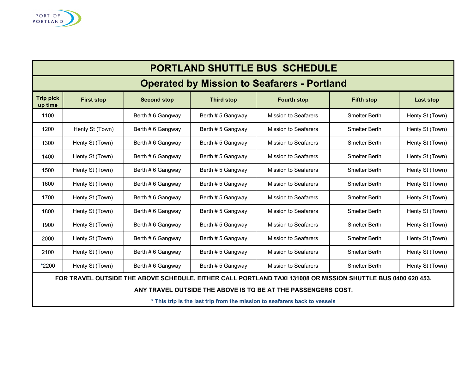

| <b>PORTLAND SHUTTLE BUS SCHEDULE</b>                                                                         |                   |                    |                   |                             |                      |                  |
|--------------------------------------------------------------------------------------------------------------|-------------------|--------------------|-------------------|-----------------------------|----------------------|------------------|
| <b>Operated by Mission to Seafarers - Portland</b>                                                           |                   |                    |                   |                             |                      |                  |
| <b>Trip pick</b><br>up time                                                                                  | <b>First stop</b> | <b>Second stop</b> | <b>Third stop</b> | <b>Fourth stop</b>          | <b>Fifth stop</b>    | <b>Last stop</b> |
| 1100                                                                                                         |                   | Berth # 6 Gangway  | Berth # 5 Gangway | <b>Mission to Seafarers</b> | <b>Smelter Berth</b> | Henty St (Town)  |
| 1200                                                                                                         | Henty St (Town)   | Berth # 6 Gangway  | Berth # 5 Gangway | <b>Mission to Seafarers</b> | <b>Smelter Berth</b> | Henty St (Town)  |
| 1300                                                                                                         | Henty St (Town)   | Berth # 6 Gangway  | Berth # 5 Gangway | <b>Mission to Seafarers</b> | <b>Smelter Berth</b> | Henty St (Town)  |
| 1400                                                                                                         | Henty St (Town)   | Berth #6 Gangway   | Berth # 5 Gangway | <b>Mission to Seafarers</b> | <b>Smelter Berth</b> | Henty St (Town)  |
| 1500                                                                                                         | Henty St (Town)   | Berth # 6 Gangway  | Berth # 5 Gangway | <b>Mission to Seafarers</b> | <b>Smelter Berth</b> | Henty St (Town)  |
| 1600                                                                                                         | Henty St (Town)   | Berth # 6 Gangway  | Berth # 5 Gangway | <b>Mission to Seafarers</b> | <b>Smelter Berth</b> | Henty St (Town)  |
| 1700                                                                                                         | Henty St (Town)   | Berth # 6 Gangway  | Berth # 5 Gangway | <b>Mission to Seafarers</b> | <b>Smelter Berth</b> | Henty St (Town)  |
| 1800                                                                                                         | Henty St (Town)   | Berth # 6 Gangway  | Berth # 5 Gangway | <b>Mission to Seafarers</b> | <b>Smelter Berth</b> | Henty St (Town)  |
| 1900                                                                                                         | Henty St (Town)   | Berth # 6 Gangway  | Berth # 5 Gangway | <b>Mission to Seafarers</b> | <b>Smelter Berth</b> | Henty St (Town)  |
| 2000                                                                                                         | Henty St (Town)   | Berth #6 Gangway   | Berth # 5 Gangway | <b>Mission to Seafarers</b> | <b>Smelter Berth</b> | Henty St (Town)  |
| 2100                                                                                                         | Henty St (Town)   | Berth #6 Gangway   | Berth # 5 Gangway | <b>Mission to Seafarers</b> | <b>Smelter Berth</b> | Henty St (Town)  |
| *2200                                                                                                        | Henty St (Town)   | Berth # 6 Gangway  | Berth # 5 Gangway | <b>Mission to Seafarers</b> | <b>Smelter Berth</b> | Henty St (Town)  |
| FOR TRAVEL OUTSIDE THE ABOVE SCHEDULE, EITHER CALL PORTLAND TAXI 131008 OR MISSION SHUTTLE BUS 0400 620 453. |                   |                    |                   |                             |                      |                  |
| ANY TRAVEL OUTSIDE THE ABOVE IS TO BE AT THE PASSENGERS COST.                                                |                   |                    |                   |                             |                      |                  |

**\* This trip is the last trip from the mission to seafarers back to vessels**